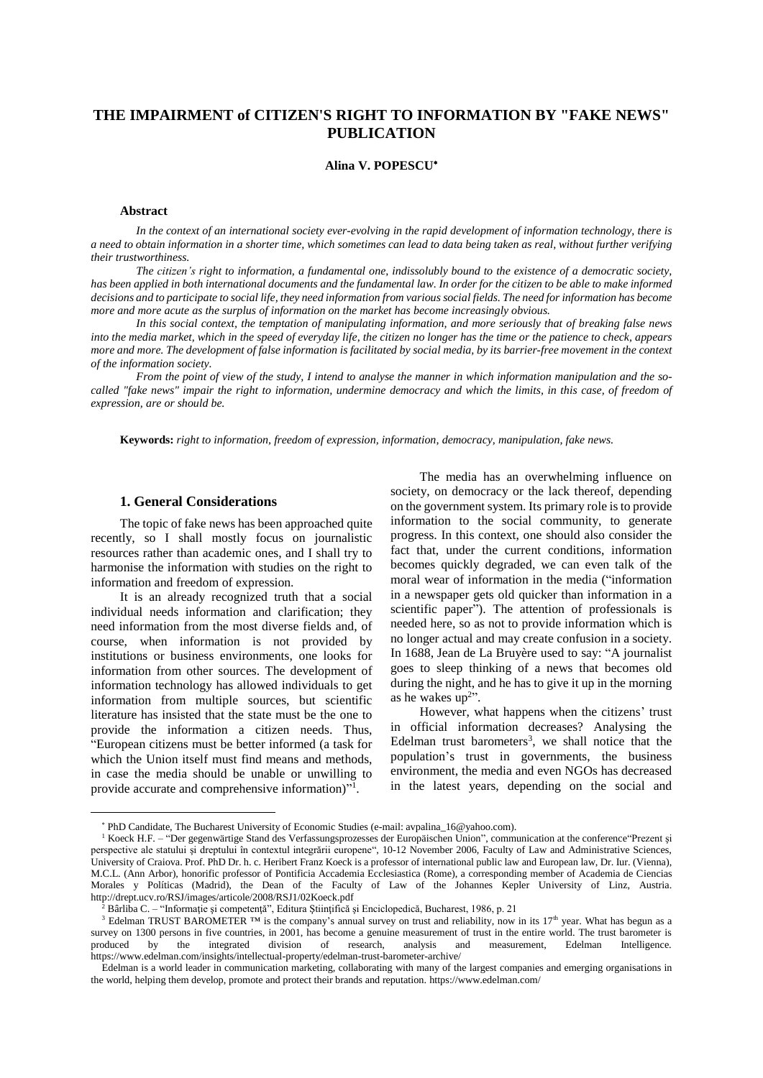# **THE IMPAIRMENT of CITIZEN'S RIGHT TO INFORMATION BY "FAKE NEWS" PUBLICATION**

### **Alina V. POPESCU**

#### **Abstract**

In the context of an international society ever-evolving in the rapid development of information technology, there is a need to obtain information in a shorter time, which sometimes can lead to data being taken as real, without further verifying *their trustworthiness.*

The citizen's right to information, a fundamental one, indissolubly bound to the existence of a democratic society, has been applied in both international documents and the fundamental law. In order for the citizen to be able to make informed decisions and to participate to social life, they need information from various social fields. The need for information has become *more and more acute as the surplus of information on the market has become increasingly obvious.*

In this social context, the temptation of manipulating information, and more seriously that of breaking false news into the media market, which in the speed of everyday life, the citizen no longer has the time or the patience to check, appears more and more. The development of false information is facilitated by social media, by its barrier-free movement in the context *of the information society.*

From the point of view of the study, I intend to analyse the manner in which information manipulation and the socalled "fake news" impair the right to information, undermine democracy and which the limits, in this case, of freedom of *expression, are or should be.*

**Keywords:** *right to information, freedom of expression, information, democracy, manipulation, fake news.*

## **1. General Considerations**

The topic of fake news has been approached quite recently, so I shall mostly focus on journalistic resources rather than academic ones, and I shall try to harmonise the information with studies on the right to information and freedom of expression.

It is an already recognized truth that a social individual needs information and clarification; they need information from the most diverse fields and, of course, when information is not provided by institutions or business environments, one looks for information from other sources. The development of information technology has allowed individuals to get information from multiple sources, but scientific literature has insisted that the state must be the one to provide the information a citizen needs. Thus, "European citizens must be better informed (a task for which the Union itself must find means and methods, in case the media should be unable or unwilling to provide accurate and comprehensive information)"<sup>1</sup>.

 $\overline{a}$ 

The media has an overwhelming influence on society, on democracy or the lack thereof, depending on the government system. Its primary role isto provide information to the social community, to generate progress. In this context, one should also consider the fact that, under the current conditions, information becomes quickly degraded, we can even talk of the moral wear of information in the media ("information in a newspaper gets old quicker than information in a scientific paper"). The attention of professionals is needed here, so as not to provide information which is no longer actual and may create confusion in a society. In 1688, Jean de La Bruyère used to say: "A journalist goes to sleep thinking of a news that becomes old during the night, and he has to give it up in the morning as he wakes  $up^{2}$ ".

However, what happens when the citizens' trust in official information decreases? Analysing the Edelman trust barometers<sup>3</sup>, we shall notice that the population's trust in governments, the business environment, the media and even NGOs has decreased in the latest years, depending on the social and

PhD Candidate, The Bucharest University of Economic Studies (e-mail: avpalina\_16@yahoo.com).

<sup>1</sup> Koeck H.F. – "Der gegenwärtige Stand des Verfassungsprozesses der Europäischen Union", communication at the conference"Prezent şi perspective ale statului şi dreptului în contextul integrării europene", 10-12 November 2006, Faculty of Law and Administrative Sciences, University of Craiova. Prof. PhD Dr. h. c. Heribert Franz Koeck is a professor of international public law and European law, Dr. Iur. (Vienna), M.C.L. (Ann Arbor), honorific professor of Pontificia Accademia Ecclesiastica (Rome), a corresponding member of Academia de Ciencias Morales y Políticas (Madrid), the Dean of the Faculty of Law of the Johannes Kepler University of Linz, Austria. http://drept.ucv.ro/RSJ/images/articole/2008/RSJ1/02Koeck.pdf

<sup>2</sup> Bârliba C. – "Informaţie şi competenţă", Editura Ştiinţifică şi Enciclopedică, Bucharest, 1986, p. 21

<sup>&</sup>lt;sup>3</sup> Edelman TRUST BAROMETER ™ is the company's annual survey on trust and reliability, now in its 17<sup>th</sup> year. What has begun as a survey on 1300 persons in five countries, in 2001, has become a genuine measurement of trust in the entire world. The trust barometer is produced by the integrated division of research, analysis and measurement, Edelman In produced by the integrated division of research, analysis and measurement, Edelman Intelligence. https://www.edelman.com/insights/intellectual-property/edelman-trust-barometer-archive/

Edelman is a world leader in communication marketing, collaborating with many of the largest companies and emerging organisations in the world, helping them develop, promote and protect their brands and reputation. https://www.edelman.com/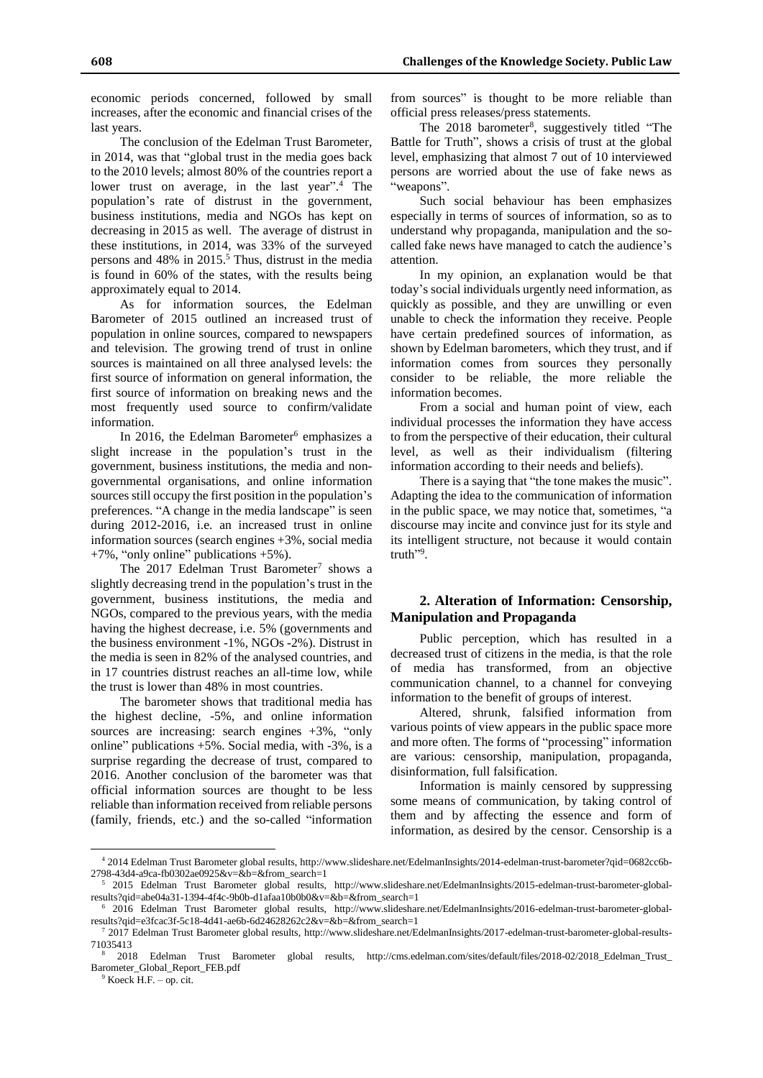economic periods concerned, followed by small increases, after the economic and financial crises of the last years.

The conclusion of the Edelman Trust Barometer, in 2014, was that "global trust in the media goes back to the 2010 levels; almost 80% of the countries report a lower trust on average, in the last year".<sup>4</sup> The population's rate of distrust in the government, business institutions, media and NGOs has kept on decreasing in 2015 as well. The average of distrust in these institutions, in 2014, was 33% of the surveyed persons and  $48\%$  in  $2015<sup>5</sup>$ . Thus, distrust in the media is found in 60% of the states, with the results being approximately equal to 2014.

As for information sources, the Edelman Barometer of 2015 outlined an increased trust of population in online sources, compared to newspapers and television. The growing trend of trust in online sources is maintained on all three analysed levels: the first source of information on general information, the first source of information on breaking news and the most frequently used source to confirm/validate information.

In 2016, the Edelman Barometer<sup>6</sup> emphasizes a slight increase in the population's trust in the government, business institutions, the media and nongovernmental organisations, and online information sources still occupy the first position in the population's preferences. "A change in the media landscape" is seen during 2012-2016, i.e. an increased trust in online information sources (search engines +3%, social media +7%, "only online" publications +5%).

The  $2017$  Edelman Trust Barometer<sup>7</sup> shows a slightly decreasing trend in the population's trust in the government, business institutions, the media and NGOs, compared to the previous years, with the media having the highest decrease, i.e. 5% (governments and the business environment -1%, NGOs -2%). Distrust in the media is seen in 82% of the analysed countries, and in 17 countries distrust reaches an all-time low, while the trust is lower than 48% in most countries.

The barometer shows that traditional media has the highest decline, -5%, and online information sources are increasing: search engines +3%, "only online" publications  $+5\%$ . Social media, with  $-3\%$ , is a surprise regarding the decrease of trust, compared to 2016. Another conclusion of the barometer was that official information sources are thought to be less reliable than information received from reliable persons (family, friends, etc.) and the so-called "information from sources" is thought to be more reliable than official press releases/press statements.

The 2018 barometer<sup>8</sup>, suggestively titled "The Battle for Truth", shows a crisis of trust at the global level, emphasizing that almost 7 out of 10 interviewed persons are worried about the use of fake news as "weapons".

Such social behaviour has been emphasizes especially in terms of sources of information, so as to understand why propaganda, manipulation and the socalled fake news have managed to catch the audience's attention.

In my opinion, an explanation would be that today's social individuals urgently need information, as quickly as possible, and they are unwilling or even unable to check the information they receive. People have certain predefined sources of information, as shown by Edelman barometers, which they trust, and if information comes from sources they personally consider to be reliable, the more reliable the information becomes.

From a social and human point of view, each individual processes the information they have access to from the perspective of their education, their cultural level, as well as their individualism (filtering information according to their needs and beliefs).

There is a saying that "the tone makes the music". Adapting the idea to the communication of information in the public space, we may notice that, sometimes, "a discourse may incite and convince just for its style and its intelligent structure, not because it would contain truth"<sup>9</sup>.

## **2. Alteration of Information: Censorship, Manipulation and Propaganda**

Public perception, which has resulted in a decreased trust of citizens in the media, is that the role of media has transformed, from an objective communication channel, to a channel for conveying information to the benefit of groups of interest.

Altered, shrunk, falsified information from various points of view appears in the public space more and more often. The forms of "processing" information are various: censorship, manipulation, propaganda, disinformation, full falsification.

Information is mainly censored by suppressing some means of communication, by taking control of them and by affecting the essence and form of information, as desired by the censor. Censorship is a

 $9$  Koeck H.F. – op. cit.

<sup>4</sup> 2014 Edelman Trust Barometer global results, http://www.slideshare.net/EdelmanInsights/2014-edelman-trust-barometer?qid=0682cc6b-2798-43d4-a9ca-fb0302ae0925&v=&b=&from\_search=1

<sup>5</sup> 2015 Edelman Trust Barometer global results, http://www.slideshare.net/EdelmanInsights/2015-edelman-trust-barometer-globalresults?qid=abe04a31-1394-4f4c-9b0b-d1afaa10b0b0&v=&b=&from\_search=1

<sup>6</sup> 2016 Edelman Trust Barometer global results, http://www.slideshare.net/EdelmanInsights/2016-edelman-trust-barometer-globalresults?qid=e3fcac3f-5c18-4d41-ae6b-6d24628262c2&v=&b=&from\_search=1

<sup>7</sup> 2017 Edelman Trust Barometer global results, http://www.slideshare.net/EdelmanInsights/2017-edelman-trust-barometer-global-results-71035413

<sup>8</sup> 2018 Edelman Trust Barometer global results, http://cms.edelman.com/sites/default/files/2018-02/2018\_Edelman\_Trust\_ Barometer\_Global\_Report\_FEB.pdf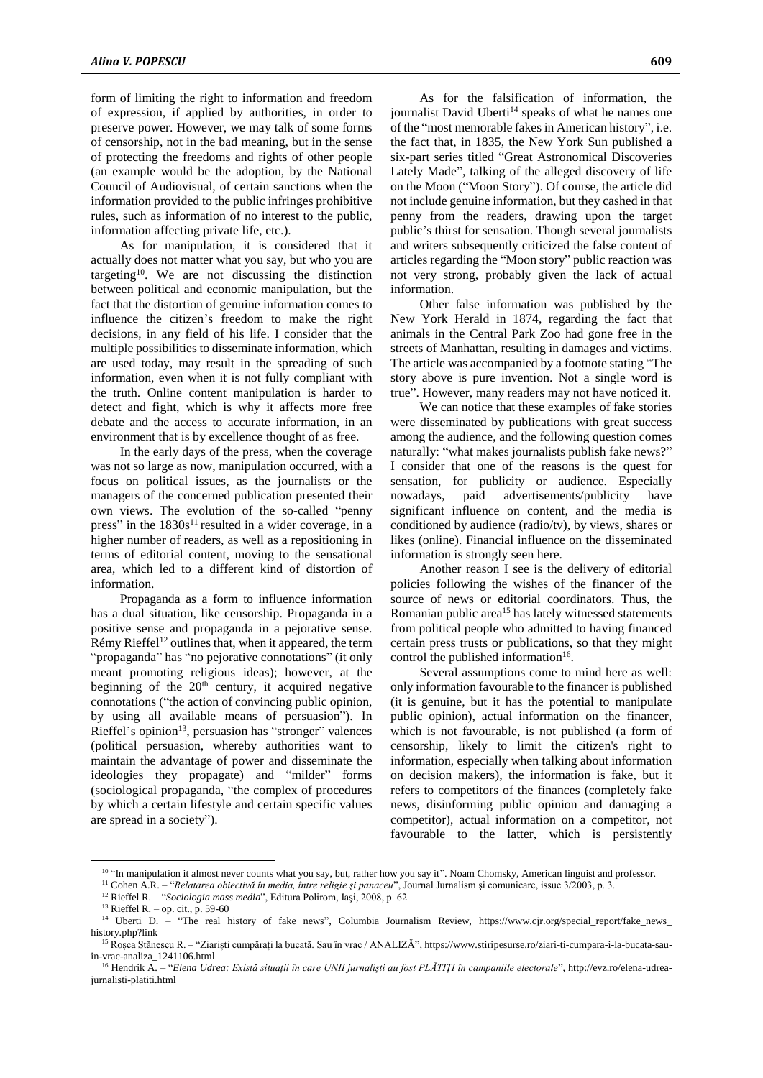form of limiting the right to information and freedom of expression, if applied by authorities, in order to preserve power. However, we may talk of some forms of censorship, not in the bad meaning, but in the sense of protecting the freedoms and rights of other people (an example would be the adoption, by the National Council of Audiovisual, of certain sanctions when the information provided to the public infringes prohibitive rules, such as information of no interest to the public, information affecting private life, etc.).

As for manipulation, it is considered that it actually does not matter what you say, but who you are targeting<sup>10</sup> . We are not discussing the distinction between political and economic manipulation, but the fact that the distortion of genuine information comes to influence the citizen's freedom to make the right decisions, in any field of his life. I consider that the multiple possibilities to disseminate information, which are used today, may result in the spreading of such information, even when it is not fully compliant with the truth. Online content manipulation is harder to detect and fight, which is why it affects more free debate and the access to accurate information, in an environment that is by excellence thought of as free.

In the early days of the press, when the coverage was not so large as now, manipulation occurred, with a focus on political issues, as the journalists or the managers of the concerned publication presented their own views. The evolution of the so-called "penny press" in the  $1830s^{11}$  resulted in a wider coverage, in a higher number of readers, as well as a repositioning in terms of editorial content, moving to the sensational area, which led to a different kind of distortion of information.

Propaganda as a form to influence information has a dual situation, like censorship. Propaganda in a positive sense and propaganda in a pejorative sense.  $Rémy Rieffel<sup>12</sup> outlines that, when it appeared, the term$ "propaganda" has "no pejorative connotations" (it only meant promoting religious ideas); however, at the beginning of the  $20<sup>th</sup>$  century, it acquired negative connotations ("the action of convincing public opinion, by using all available means of persuasion"). In Rieffel's opinion<sup>13</sup>, persuasion has "stronger" valences (political persuasion, whereby authorities want to maintain the advantage of power and disseminate the ideologies they propagate) and "milder" forms (sociological propaganda, "the complex of procedures by which a certain lifestyle and certain specific values are spread in a society").

As for the falsification of information, the journalist David Uberti $14$  speaks of what he names one of the "most memorable fakesin American history", i.e. the fact that, in 1835, the New York Sun published a six-part series titled "Great Astronomical Discoveries Lately Made", talking of the alleged discovery of life on the Moon ("Moon Story"). Of course, the article did not include genuine information, but they cashed in that penny from the readers, drawing upon the target public's thirst for sensation. Though several journalists

articles regarding the "Moon story" public reaction was not very strong, probably given the lack of actual information. Other false information was published by the New York Herald in 1874, regarding the fact that animals in the Central Park Zoo had gone free in the streets of Manhattan, resulting in damages and victims. The article was accompanied by a footnote stating "The story above is pure invention. Not a single word is true". However, many readers may not have noticed it.

and writers subsequently criticized the false content of

We can notice that these examples of fake stories were disseminated by publications with great success among the audience, and the following question comes naturally: "what makes journalists publish fake news?" I consider that one of the reasons is the quest for sensation, for publicity or audience. Especially nowadays, paid advertisements/publicity have significant influence on content, and the media is conditioned by audience (radio/tv), by views, shares or likes (online). Financial influence on the disseminated information is strongly seen here.

Another reason I see is the delivery of editorial policies following the wishes of the financer of the source of news or editorial coordinators. Thus, the Romanian public area<sup>15</sup> has lately witnessed statements from political people who admitted to having financed certain press trusts or publications, so that they might control the published information<sup>16</sup>.

Several assumptions come to mind here as well: only information favourable to the financer is published (it is genuine, but it has the potential to manipulate public opinion), actual information on the financer, which is not favourable, is not published (a form of censorship, likely to limit the citizen's right to information, especially when talking about information on decision makers), the information is fake, but it refers to competitors of the finances (completely fake news, disinforming public opinion and damaging a competitor), actual information on a competitor, not favourable to the latter, which is persistently

<sup>&</sup>lt;sup>10</sup> "In manipulation it almost never counts what you say, but, rather how you say it". Noam Chomsky, American linguist and professor.

<sup>11</sup> Cohen A.R. – "*Relatarea obiectivă în media, între religie şi panaceu*", Journal Jurnalism şi comunicare, issue 3/2003, p. 3.

<sup>12</sup> Rieffel R. – "*Sociologia mass media*", Editura Polirom, Iaşi, 2008, p. 62

<sup>&</sup>lt;sup>13</sup> Rieffel R. – op. cit., p. 59-60<br><sup>14</sup> Uberti D. – "The real l "The real history of fake news", Columbia Journalism Review, https://www.cjr.org/special\_report/fake\_news\_ history.php?link

<sup>15</sup> Roșca Stănescu R. – "Ziariști cumpărați la bucată. Sau în vrac / ANALIZĂ", https://www.stiripesurse.ro/ziari-ti-cumpara-i-la-bucata-sauin-vrac-analiza\_1241106.html

<sup>&</sup>lt;sup>16</sup> Hendrik A. – "Elena Udrea: Există situații în care UNII jurnaliști au fost PLĂTIȚI în campaniile electorale", http://evz.ro/elena-udreajurnalisti-platiti.html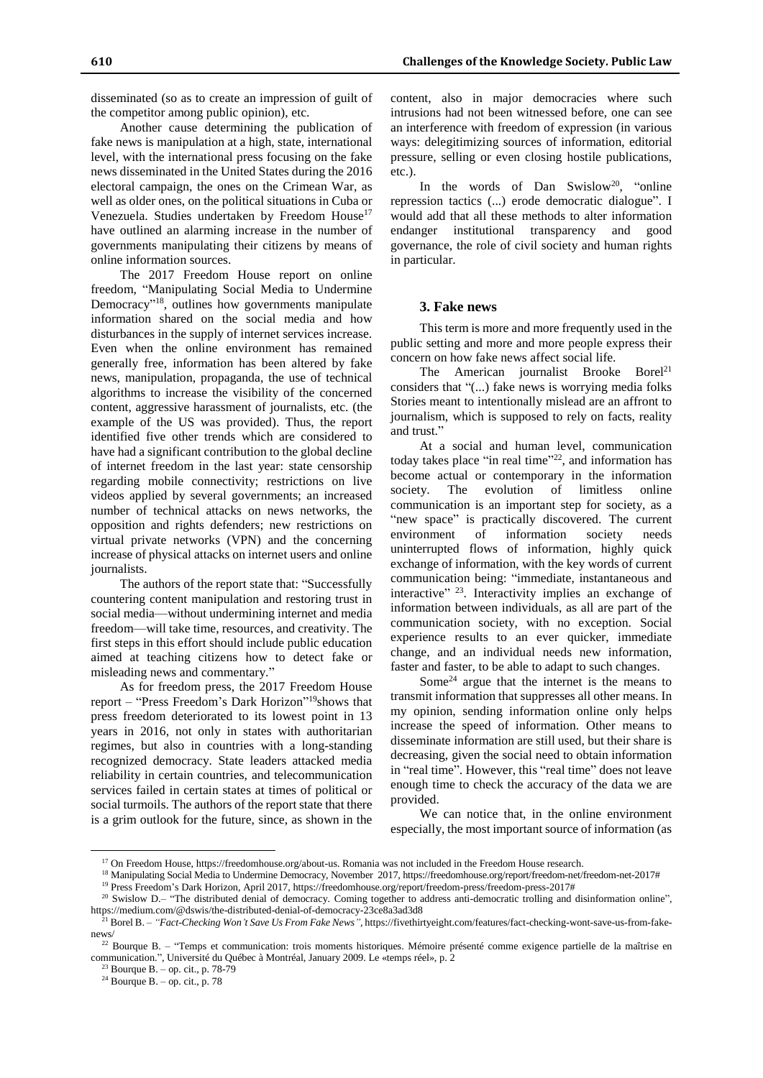disseminated (so as to create an impression of guilt of the competitor among public opinion), etc.

Another cause determining the publication of fake news is manipulation at a high, state, international level, with the international press focusing on the fake news disseminated in the United States during the 2016 electoral campaign, the ones on the Crimean War, as well as older ones, on the political situations in Cuba or Venezuela. Studies undertaken by Freedom House<sup>17</sup> have outlined an alarming increase in the number of governments manipulating their citizens by means of online information sources.

The 2017 Freedom House report on online freedom, "Manipulating Social Media to Undermine Democracy"<sup>18</sup>, outlines how governments manipulate information shared on the social media and how disturbances in the supply of internet services increase. Even when the online environment has remained generally free, information has been altered by fake news, manipulation, propaganda, the use of technical algorithms to increase the visibility of the concerned content, aggressive harassment of journalists, etc. (the example of the US was provided). Thus, the report identified five other trends which are considered to have had a significant contribution to the global decline of internet freedom in the last year: state censorship regarding mobile connectivity; restrictions on live videos applied by several governments; an increased number of technical attacks on news networks, the opposition and rights defenders; new restrictions on virtual private networks (VPN) and the concerning increase of physical attacks on internet users and online journalists.

The authors of the report state that: "Successfully countering content manipulation and restoring trust in social media—without undermining internet and media freedom—will take time, resources, and creativity. The first steps in this effort should include public education aimed at teaching citizens how to detect fake or misleading news and commentary."

As for freedom press, the 2017 Freedom House report – "Press Freedom's Dark Horizon" <sup>19</sup>shows that press freedom deteriorated to its lowest point in 13 years in 2016, not only in states with authoritarian regimes, but also in countries with a long-standing recognized democracy. State leaders attacked media reliability in certain countries, and telecommunication services failed in certain states at times of political or social turmoils. The authors of the report state that there is a grim outlook for the future, since, as shown in the

content, also in major democracies where such intrusions had not been witnessed before, one can see an interference with freedom of expression (in various ways: delegitimizing sources of information, editorial pressure, selling or even closing hostile publications, etc.).

In the words of Dan Swislow<sup>20</sup>, "online repression tactics (...) erode democratic dialogue". I would add that all these methods to alter information endanger institutional transparency and good governance, the role of civil society and human rights in particular.

### **3. Fake news**

This term is more and more frequently used in the public setting and more and more people express their concern on how fake news affect social life.

The American journalist Brooke Borel<sup>21</sup> considers that "(...) fake news is worrying media folks Stories meant to intentionally mislead are an affront to journalism, which is supposed to rely on facts, reality and trust."

At a social and human level, communication today takes place "in real time"<sup>22</sup>, and information has become actual or contemporary in the information society. The evolution of limitless online communication is an important step for society, as a "new space" is practically discovered. The current environment of information society needs uninterrupted flows of information, highly quick exchange of information, with the key words of current communication being: "immediate, instantaneous and interactive" <sup>23</sup>. Interactivity implies an exchange of information between individuals, as all are part of the communication society, with no exception. Social experience results to an ever quicker, immediate change, and an individual needs new information, faster and faster, to be able to adapt to such changes.

Some<sup>24</sup> argue that the internet is the means to transmit information that suppresses all other means. In my opinion, sending information online only helps increase the speed of information. Other means to disseminate information are still used, but their share is decreasing, given the social need to obtain information in "real time". However, this "real time" does not leave enough time to check the accuracy of the data we are provided.

We can notice that, in the online environment especially, the most important source of information (as

<sup>17</sup> On Freedom House, https://freedomhouse.org/about-us. Romania was not included in the Freedom House research.

<sup>18</sup> Manipulating Social Media to Undermine Democracy, November 2017, https://freedomhouse.org/report/freedom-net/freedom-net-2017# <sup>19</sup> Press Freedom's Dark Horizon, April 2017, https://freedomhouse.org/report/freedom-press/freedom-press-2017#

 $20$  Swislow D.– "The distributed denial of democracy. Coming together to address anti-democratic trolling and disinformation online", https://medium.com/@dswis/the-distributed-denial-of-democracy-23ce8a3ad3d8

<sup>21</sup> Borel B. – *"Fact-Checking Won't Save Us From Fake News",* https://fivethirtyeight.com/features/fact-checking-wont-save-us-from-fakenews/

<sup>&</sup>lt;sup>22</sup> Bourque B. – "Temps et communication: trois moments historiques. Mémoire présenté comme exigence partielle de la maîtrise en communication.", Université du Québec à Montréal, January 2009. Le «temps réel», p. 2

 $23$  Bourque B. – op. cit., p. 78-79

 $24$  Bourque B. – op. cit., p. 78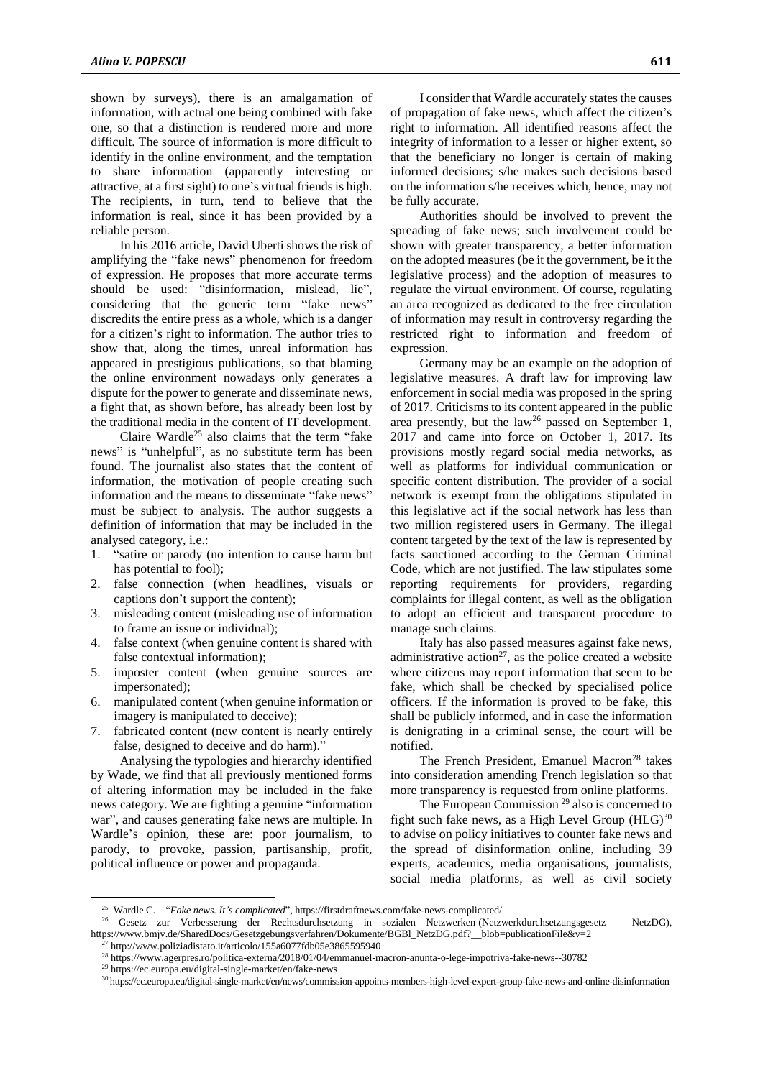shown by surveys), there is an amalgamation of information, with actual one being combined with fake one, so that a distinction is rendered more and more difficult. The source of information is more difficult to identify in the online environment, and the temptation to share information (apparently interesting or attractive, at a first sight) to one's virtual friends is high. The recipients, in turn, tend to believe that the information is real, since it has been provided by a reliable person.

In his 2016 article, David Uberti shows the risk of amplifying the "fake news" phenomenon for freedom of expression. He proposes that more accurate terms should be used: "disinformation, mislead, lie", considering that the generic term "fake news" discredits the entire press as a whole, which is a danger for a citizen's right to information. The author tries to show that, along the times, unreal information has appeared in prestigious publications, so that blaming the online environment nowadays only generates a dispute for the power to generate and disseminate news, a fight that, as shown before, has already been lost by the traditional media in the content of IT development.

Claire Wardle<sup>25</sup> also claims that the term "fake news" is "unhelpful", as no substitute term has been found. The journalist also states that the content of information, the motivation of people creating such information and the means to disseminate "fake news" must be subject to analysis. The author suggests a definition of information that may be included in the analysed category, i.e.:

- 1. "satire or parody (no intention to cause harm but has potential to fool);
- 2. false connection (when headlines, visuals or captions don't support the content);
- 3. misleading content (misleading use of information to frame an issue or individual);
- 4. false context (when genuine content is shared with false contextual information);
- 5. imposter content (when genuine sources are impersonated);
- 6. manipulated content (when genuine information or imagery is manipulated to deceive);
- 7. fabricated content (new content is nearly entirely false, designed to deceive and do harm)."

Analysing the typologies and hierarchy identified by Wade, we find that all previously mentioned forms of altering information may be included in the fake news category. We are fighting a genuine "information war", and causes generating fake news are multiple. In Wardle's opinion, these are: poor journalism, to parody, to provoke, passion, partisanship, profit, political influence or power and propaganda.

I consider that Wardle accurately states the causes of propagation of fake news, which affect the citizen's right to information. All identified reasons affect the integrity of information to a lesser or higher extent, so that the beneficiary no longer is certain of making informed decisions; s/he makes such decisions based on the information s/he receives which, hence, may not be fully accurate.

Authorities should be involved to prevent the spreading of fake news; such involvement could be shown with greater transparency, a better information on the adopted measures (be it the government, be it the legislative process) and the adoption of measures to regulate the virtual environment. Of course, regulating an area recognized as dedicated to the free circulation of information may result in controversy regarding the restricted right to information and freedom of expression.

Germany may be an example on the adoption of legislative measures. A draft law for improving law enforcement in social media was proposed in the spring of 2017. Criticisms to its content appeared in the public area presently, but the law<sup>26</sup> passed on September 1, 2017 and came into force on October 1, 2017. Its provisions mostly regard social media networks, as well as platforms for individual communication or specific content distribution. The provider of a social network is exempt from the obligations stipulated in this legislative act if the social network has less than two million registered users in Germany. The illegal content targeted by the text of the law is represented by facts sanctioned according to the German Criminal Code, which are not justified. The law stipulates some reporting requirements for providers, regarding complaints for illegal content, as well as the obligation to adopt an efficient and transparent procedure to manage such claims.

Italy has also passed measures against fake news, administrative action<sup>27</sup>, as the police created a website where citizens may report information that seem to be fake, which shall be checked by specialised police officers. If the information is proved to be fake, this shall be publicly informed, and in case the information is denigrating in a criminal sense, the court will be notified.

The French President, Emanuel Macron<sup>28</sup> takes into consideration amending French legislation so that more transparency is requested from online platforms.

The European Commission<sup>29</sup> also is concerned to fight such fake news, as a High Level Group  $(HLG)^{30}$ to advise on policy initiatives to counter fake news and the spread of disinformation online, including 39 experts, academics, media organisations, journalists, social media platforms, as well as civil society

<sup>25</sup> Wardle C. – "*Fake news. It's complicated*", https://firstdraftnews.com/fake-news-complicated/

<sup>26</sup> Gesetz zur Verbesserung der Rechtsdurchsetzung in sozialen Netzwerken (Netzwerkdurchsetzungsgesetz – NetzDG), https://www.bmjv.de/SharedDocs/Gesetzgebungsverfahren/Dokumente/BGBl\_NetzDG.pdf?\_\_blob=publicationFile&v=2

http://www.poliziadistato.it/articolo/155a6077fdb05e3865595940

<sup>28</sup> https://www.agerpres.ro/politica-externa/2018/01/04/emmanuel-macron-anunta-o-lege-impotriva-fake-news--30782

<sup>29</sup> https://ec.europa.eu/digital-single-market/en/fake-news

<sup>30</sup> https://ec.europa.eu/digital-single-market/en/news/commission-appoints-members-high-level-expert-group-fake-news-and-online-disinformation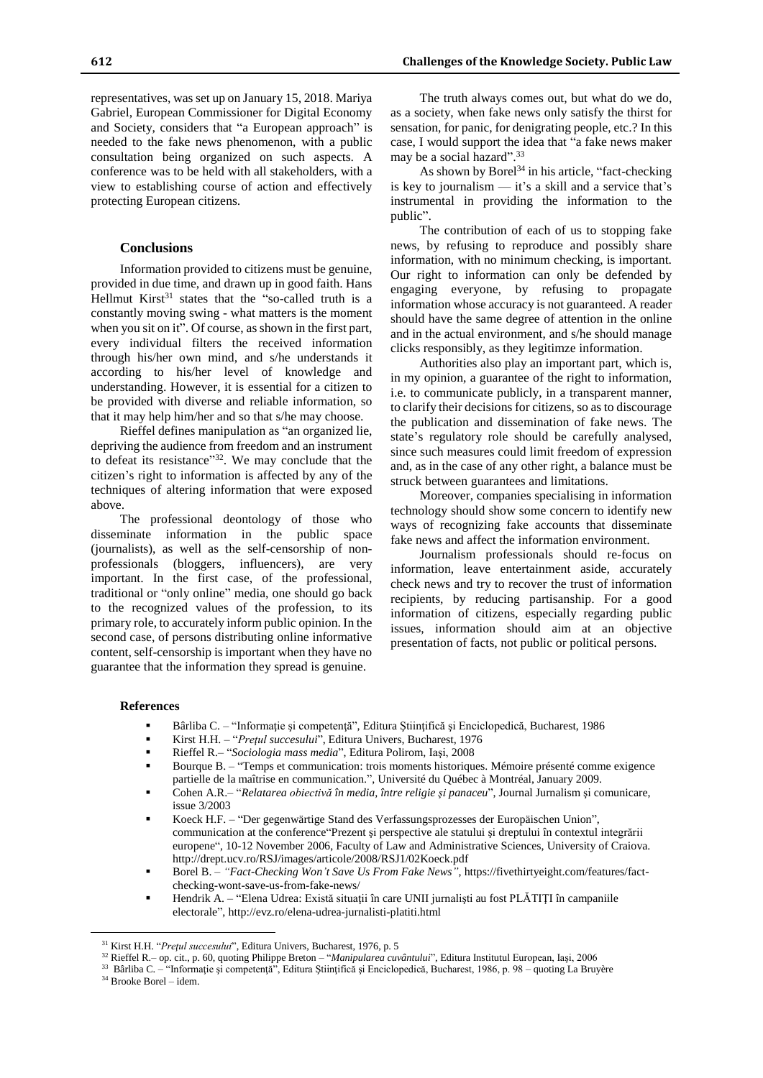representatives, was set up on January 15, 2018. Mariya Gabriel, European Commissioner for Digital Economy and Society, considers that "a European approach" is needed to the fake news phenomenon, with a public consultation being organized on such aspects. A conference was to be held with all stakeholders, with a view to establishing course of action and effectively protecting European citizens.

### **Conclusions**

Information provided to citizens must be genuine, provided in due time, and drawn up in good faith. Hans Hellmut Kirst $31$  states that the "so-called truth is a constantly moving swing - what matters is the moment when you sit on it". Of course, as shown in the first part, every individual filters the received information through his/her own mind, and s/he understands it according to his/her level of knowledge and understanding. However, it is essential for a citizen to be provided with diverse and reliable information, so that it may help him/her and so that s/he may choose.

Rieffel defines manipulation as "an organized lie, depriving the audience from freedom and an instrument to defeat its resistance"<sup>32</sup>. We may conclude that the citizen's right to information is affected by any of the techniques of altering information that were exposed above.

The professional deontology of those who disseminate information in the public space (journalists), as well as the self-censorship of nonprofessionals (bloggers, influencers), are very important. In the first case, of the professional, traditional or "only online" media, one should go back to the recognized values of the profession, to its primary role, to accurately inform public opinion. In the second case, of persons distributing online informative content, self-censorship is important when they have no guarantee that the information they spread is genuine.

The truth always comes out, but what do we do, as a society, when fake news only satisfy the thirst for sensation, for panic, for denigrating people, etc.? In this case, I would support the idea that "a fake news maker may be a social hazard".<sup>33</sup>

As shown by Borel<sup>34</sup> in his article, "fact-checking" is key to journalism  $-$  it's a skill and a service that's instrumental in providing the information to the public".

The contribution of each of us to stopping fake news, by refusing to reproduce and possibly share information, with no minimum checking, is important. Our right to information can only be defended by engaging everyone, by refusing to propagate information whose accuracy is not guaranteed. A reader should have the same degree of attention in the online and in the actual environment, and s/he should manage clicks responsibly, as they legitimze information.

Authorities also play an important part, which is, in my opinion, a guarantee of the right to information, i.e. to communicate publicly, in a transparent manner, to clarify their decisions for citizens, so as to discourage the publication and dissemination of fake news. The state's regulatory role should be carefully analysed, since such measures could limit freedom of expression and, as in the case of any other right, a balance must be struck between guarantees and limitations.

Moreover, companies specialising in information technology should show some concern to identify new ways of recognizing fake accounts that disseminate fake news and affect the information environment.

Journalism professionals should re-focus on information, leave entertainment aside, accurately check news and try to recover the trust of information recipients, by reducing partisanship. For a good information of citizens, especially regarding public issues, information should aim at an objective presentation of facts, not public or political persons.

#### **References**

 $\overline{a}$ 

- Bârliba C. "Informaţie şi competenţă", Editura Ştiinţifică şi Enciclopedică, Bucharest, 1986
- Kirst H.H. "*Preţul succesului*", Editura Univers, Bucharest, 1976
- Rieffel R.– "*Sociologia mass media*", Editura Polirom, Iaşi, 2008
- Bourque B. "Temps et communication: trois moments historiques. Mémoire présenté comme exigence partielle de la maîtrise en communication.", Université du Québec à Montréal, January 2009.
- Cohen A.R.– "*Relatarea obiectivă în media, între religie şi panaceu*", Journal Jurnalism şi comunicare, issue 3/2003
- Koeck H.F. "Der gegenwärtige Stand des Verfassungsprozesses der Europäischen Union", communication at the conference"Prezent şi perspective ale statului şi dreptului în contextul integrării europene", 10-12 November 2006, Faculty of Law and Administrative Sciences, University of Craiova. http://drept.ucv.ro/RSJ/images/articole/2008/RSJ1/02Koeck.pdf
- Borel B. *"Fact-Checking Won't Save Us From Fake News",* https://fivethirtyeight.com/features/factchecking-wont-save-us-from-fake-news/
- Hendrik A. "Elena Udrea: Există situații în care UNII jurnalisti au fost PLĂTIȚI în campaniile electorale", http://evz.ro/elena-udrea-jurnalisti-platiti.html

<sup>33</sup> Bârliba C. – "Informație și competență", Editura Științifică și Enciclopedică, Bucharest, 1986, p. 98 – quoting La Bruyère <sup>34</sup> Brooke Borel – idem.

<sup>31</sup> Kirst H.H. "*Preţul succesului*", Editura Univers, Bucharest, 1976, p. 5

<sup>32</sup> Rieffel R.– op. cit., p. 60, quoting Philippe Breton – "*Manipularea cuvântului*", Editura Institutul European, Iaşi, 2006